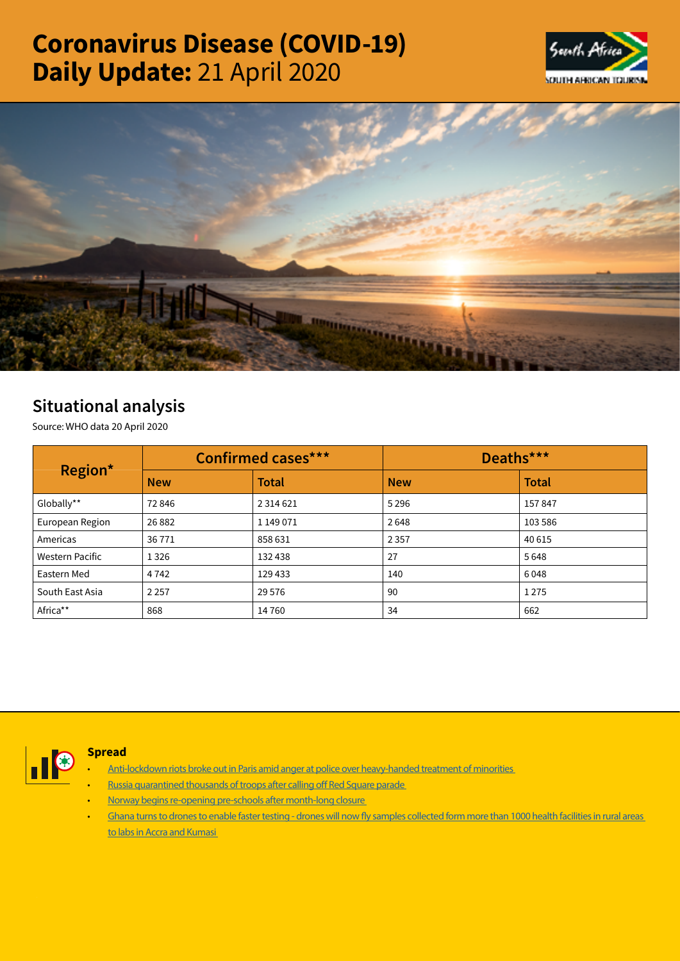# Coronavirus Disease (COVID-19) Daily Update: 21 April 2020





# Situational analysis

Source: WHO data 20 April 2020

| Region*         | <b>Confirmed cases***</b> |               | Deaths***  |              |
|-----------------|---------------------------|---------------|------------|--------------|
|                 | <b>New</b>                | <b>Total</b>  | <b>New</b> | <b>Total</b> |
| Globally**      | 72846                     | 2 3 1 4 6 2 1 | 5 2 9 6    | 157847       |
| European Region | 26882                     | 1 149 071     | 2648       | 103 586      |
| Americas        | 36771                     | 858 631       | 2 3 5 7    | 40 615       |
| Western Pacific | 1 3 2 6                   | 132 438       | 27         | 5648         |
| Eastern Med     | 4 7 4 2                   | 129 433       | 140        | 6048         |
| South East Asia | 2 2 5 7                   | 29 5 76       | 90         | 1275         |
| Africa**        | 868                       | 14760         | 34         | 662          |



# Spread

- [Anti-lockdown riots broke out in Paris amid anger at police over heavy-handed treatment of minorities](https://t.co/CrM9Rj5Rbd?amp=1)
- [Russia quarantined thousands of troops after calling off Red Square parade](https://t.co/WYspDBmgbl?amp=1)
- [Norway begins re-opening pre-schools after month-long closure](https://t.co/VW39vKTQm9?amp=1)
- [Ghana turns to drones to enable faster testing drones will now fly samples collected form more than 1000 health facilities in rural areas](https://t.co/29wH1JCDnN?amp=1)  [to labs in Accra and Kumasi](https://t.co/29wH1JCDnN?amp=1)